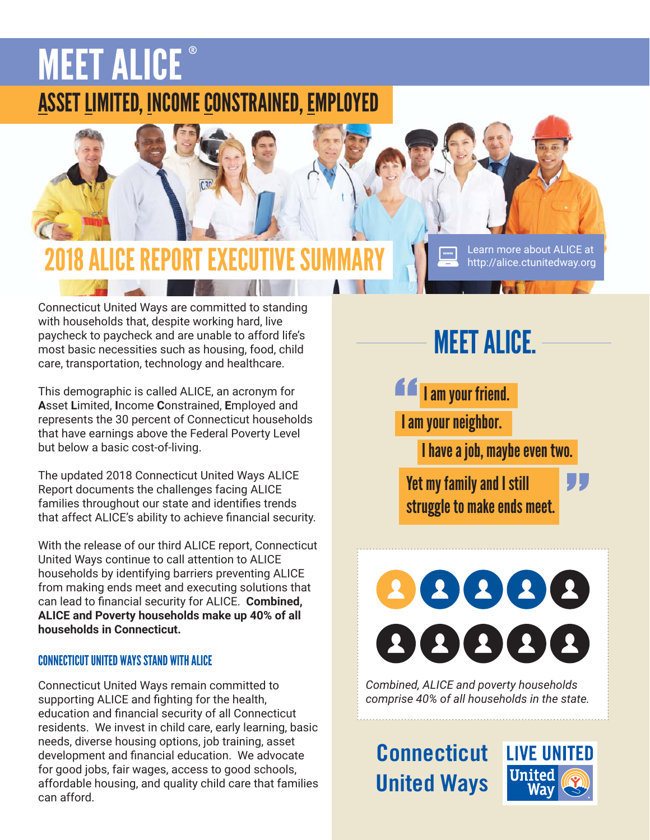# **MEET ALICE** ASSET LIMITED, INCOME CONSTRAINED, EMPLOYED



Connecticut United Ways are committed to standing with households that, despite working hard, live paycheck to paycheck and are unable to afford life's most basic necessities such as housing, food, child care, transportation, technology and healthcare.

This demographic is called ALICE, an acronym for **A**sset **L**imited, **I**ncome **C**onstrained, **E**mployed and represents the 30 percent of Connecticut households that have earnings above the Federal Poverty Level but below a basic cost-of-living.

The updated 2018 Connecticut United Ways ALICE Report documents the challenges facing ALICE families throughout our state and identifies trends that affect ALICE's ability to achieve financial security.

With the release of our third ALICE report, Connecticut United Ways continue to call attention to ALICE households by identifying barriers preventing ALICE from making ends meet and executing solutions that can lead to financial security for ALICE. **Combined**, **ALICE and Poverty households make up 40% of all households in Connecticut.**

### CONNECTICUT UNITED WAYS STAND WITH ALICE

Connecticut United Ways remain committed to supporting ALICE and fighting for the health, education and financial security of all Connecticut residents. We invest in child care, early learning, basic needs, diverse housing options, job training, asset development and financial education. We advocate for good jobs, fair wages, access to good schools, affordable housing, and quality child care that families can afford.

# MEET ALICE.

http://alice.ctunitedway.org

I am your friend. I am your neighbor. I have a job, maybe even two.

Yet my family and I still struggle to make ends meet.



*Combined, ALICE and poverty households comprise 40% of all households in the state.*

**Connecticut United Ways**

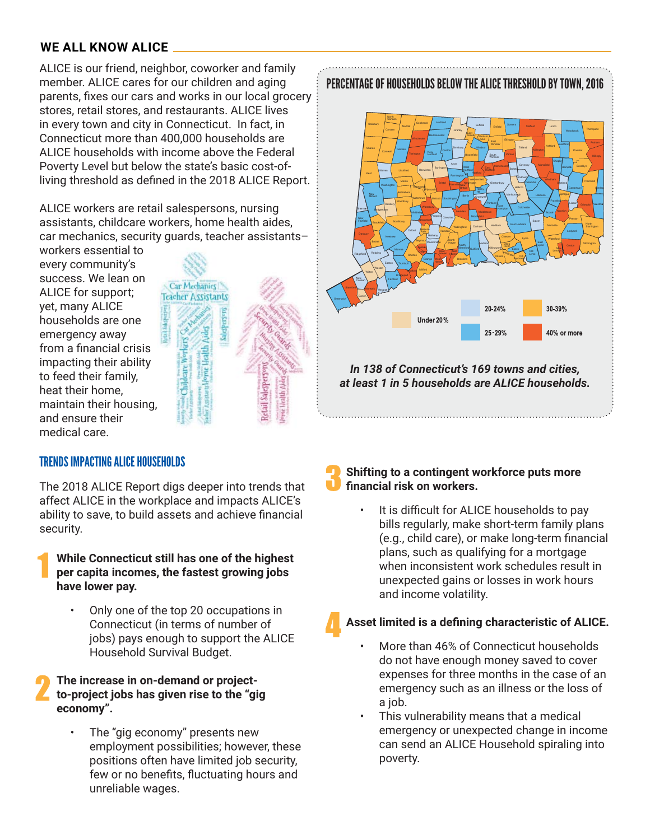#### **WE ALL KNOW ALICE**

ALICE is our friend, neighbor, coworker and family member. ALICE cares for our children and aging parents, fixes our cars and works in our local grocery stores, retail stores, and restaurants. ALICE lives in every town and city in Connecticut. In fact, in Connecticut more than 400,000 households are ALICE households with income above the Federal Poverty Level but below the state's basic cost-ofliving threshold as defined in the 2018 ALICE Report.

ALICE workers are retail salespersons, nursing assistants, childcare workers, home health aides, car mechanics, security guards, teacher assistants–

workers essential to every community's success. We lean on ALICE for support; yet, many ALICE households are one emergency away from a financial crisis impacting their ability to feed their family, heat their home, maintain their housing, and ensure their medical care.



#### PERCENTAGE OF HOUSEHOLDS BELOW THE ALICE THRESHOLD BY TOWN, 2016



*In 138 of Connecticut's 169 towns and cities, at least 1 in 5 households are ALICE households.*

#### TRENDS IMPACTING ALICE HOUSEHOLDS

The 2018 ALICE Report digs deeper into trends that affect ALICE in the workplace and impacts ALICE's ability to save, to build assets and achieve financial security.

#### **While Connecticut still has one of the highest per capita incomes, the fastest growing jobs have lower pay.**

• Only one of the top 20 occupations in Connecticut (in terms of number of jobs) pays enough to support the ALICE Household Survival Budget.

#### **The increase in on-demand or projectto-project jobs has given rise to the "gig economy".**

The "gig economy" presents new employment possibilities; however, these positions often have limited job security, few or no benefits, fluctuating hours and unreliable wages.

#### **Shifting to a contingent workforce puts more**  financial risk on workers.

It is difficult for ALICE households to pay bills regularly, make short-term family plans (e.g., child care), or make long-term financial plans, such as qualifying for a mortgage when inconsistent work schedules result in unexpected gains or losses in work hours and income volatility.

#### Asset limited is a defining characteristic of ALICE.

- More than 46% of Connecticut households do not have enough money saved to cover expenses for three months in the case of an emergency such as an illness or the loss of a job.
- This vulnerability means that a medical emergency or unexpected change in income can send an ALICE Household spiraling into poverty.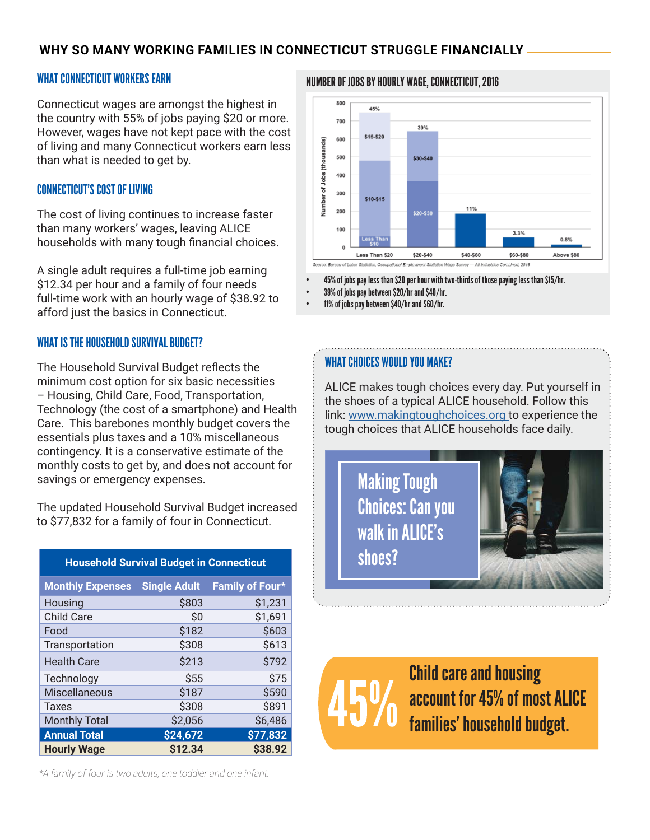#### **WHY SO MANY WORKING FAMILIES IN CONNECTICUT STRUGGLE FINANCIALLY**

#### WHAT CONNECTICUT WORKERS EARN

Connecticut wages are amongst the highest in the country with 55% of jobs paying \$20 or more. However, wages have not kept pace with the cost of living and many Connecticut workers earn less than what is needed to get by.

#### CONNECTICUT'S COST OF LIVING

The cost of living continues to increase faster than many workers' wages, leaving ALICE households with many tough financial choices.

A single adult requires a full-time job earning \$12.34 per hour and a family of four needs full-time work with an hourly wage of \$38.92 to afford just the basics in Connecticut.

#### WHAT IS THE HOUSEHOLD SURVIVAL BUDGET?

The Household Survival Budget reflects the minimum cost option for six basic necessities – Housing, Child Care, Food, Transportation, Technology (the cost of a smartphone) and Health Care. This barebones monthly budget covers the essentials plus taxes and a 10% miscellaneous contingency. It is a conservative estimate of the monthly costs to get by, and does not account for savings or emergency expenses.

The updated Household Survival Budget increased to \$77,832 for a family of four in Connecticut.

| <b>Monthly Expenses</b> | <b>Single Adult</b> | Family of Four* |
|-------------------------|---------------------|-----------------|
| Housing                 | \$803               | \$1,231         |
| <b>Child Care</b>       | Ś0                  | \$1,691         |
| Food                    | \$182               | \$603           |
| Transportation          | \$308               | \$613           |
| <b>Health Care</b>      | \$213               | \$792           |
| Technology              | \$55                | \$75            |
| <b>Miscellaneous</b>    | \$187               | \$590           |
| Taxes                   | \$308               | \$891           |
| <b>Monthly Total</b>    | \$2,056             | \$6,486         |
| <b>Annual Total</b>     | \$24,672            | \$77,832        |
| <b>Hourly Wage</b>      | \$12.34             | \$38.92         |
|                         |                     |                 |

**Household Survival Budget in Connecticut**

#### NUMBER OF JOBS BY HOURLY WAGE, CONNECTICUT, 2016



• 45% of jobs pay less than \$20 per hour with two-thirds of those paying less than \$15/hr.

• 39% of jobs pay between \$20/hr and \$40/hr.

• 11% of jobs pay between \$40/hr and \$60/hr.

#### WHAT CHOICES WOULD YOU MAKE?

ALICE makes tough choices every day. Put yourself in the shoes of a typical ALICE household. Follow this link: www.makingtoughchoices.org to experience the tough choices that ALICE households face daily.

> Making Tough Choices: Can you walk in ALICE's shoes?



Child care and housing account for 45% of most ALICE families' household budget.

*\*A family of four is two adults, one toddler and one infant.*